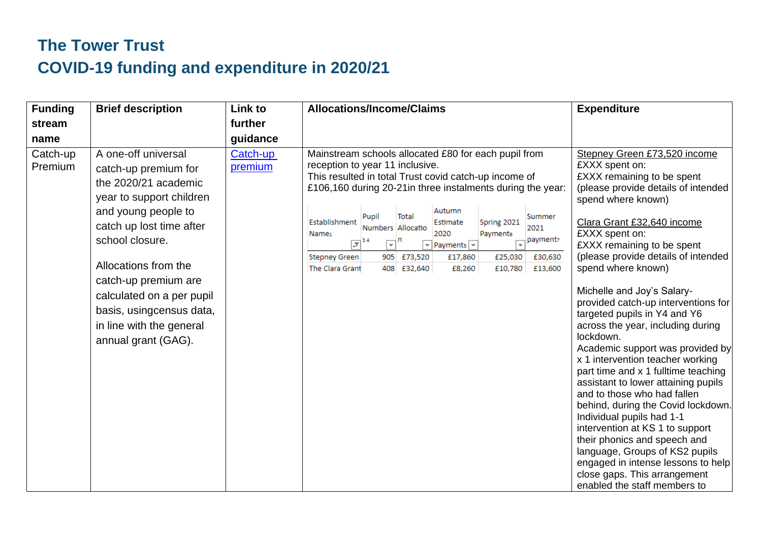## **The Tower Trust COVID-19 funding and expenditure in 2020/21**

| <b>Funding</b>      | <b>Brief description</b>                                                                                                                                                                                                                                                                                                          | Link to             | <b>Allocations/Income/Claims</b>                                                                                                                                                                                                                                                                                                                                                                                                                                                                                                                                                                                             | <b>Expenditure</b>                                                                                                                                                                                                                                                                                                                                                                                                                                                                                                                                                                                                                                                                                                                                                                                                                                                                                             |
|---------------------|-----------------------------------------------------------------------------------------------------------------------------------------------------------------------------------------------------------------------------------------------------------------------------------------------------------------------------------|---------------------|------------------------------------------------------------------------------------------------------------------------------------------------------------------------------------------------------------------------------------------------------------------------------------------------------------------------------------------------------------------------------------------------------------------------------------------------------------------------------------------------------------------------------------------------------------------------------------------------------------------------------|----------------------------------------------------------------------------------------------------------------------------------------------------------------------------------------------------------------------------------------------------------------------------------------------------------------------------------------------------------------------------------------------------------------------------------------------------------------------------------------------------------------------------------------------------------------------------------------------------------------------------------------------------------------------------------------------------------------------------------------------------------------------------------------------------------------------------------------------------------------------------------------------------------------|
| stream              |                                                                                                                                                                                                                                                                                                                                   | further             |                                                                                                                                                                                                                                                                                                                                                                                                                                                                                                                                                                                                                              |                                                                                                                                                                                                                                                                                                                                                                                                                                                                                                                                                                                                                                                                                                                                                                                                                                                                                                                |
| name                |                                                                                                                                                                                                                                                                                                                                   | guidance            |                                                                                                                                                                                                                                                                                                                                                                                                                                                                                                                                                                                                                              |                                                                                                                                                                                                                                                                                                                                                                                                                                                                                                                                                                                                                                                                                                                                                                                                                                                                                                                |
| Catch-up<br>Premium | A one-off universal<br>catch-up premium for<br>the 2020/21 academic<br>year to support children<br>and young people to<br>catch up lost time after<br>school closure.<br>Allocations from the<br>catch-up premium are<br>calculated on a per pupil<br>basis, usingcensus data,<br>in line with the general<br>annual grant (GAG). | Catch-up<br>premium | Mainstream schools allocated £80 for each pupil from<br>reception to year 11 inclusive.<br>This resulted in total Trust covid catch-up income of<br>£106,160 during 20-21 in three instalments during the year:<br>Autumn<br>Total<br>Pupil<br>Summer<br>Establishment<br>Spring 2021<br>Estimate<br>Numbers Allocatio<br>2021<br>2020<br>Payments<br>Name <sub>1</sub><br>payment,<br>$\sqrt{\pi}$ <sup>34</sup><br>ᅱ<br>$\overline{\mathbf{v}}$ Payments $\overline{\mathbf{v}}$<br><b>Stepney Green</b><br>905 £73,520<br>£17,860<br>£25,030<br>£30,630<br>The Clara Grant<br>408 £32,640<br>£8,260<br>£10,780<br>£13,600 | Stepney Green £73,520 income<br>£XXX spent on:<br>£XXX remaining to be spent<br>(please provide details of intended<br>spend where known)<br>Clara Grant £32,640 income<br>£XXX spent on:<br>£XXX remaining to be spent<br>(please provide details of intended<br>spend where known)<br>Michelle and Joy's Salary-<br>provided catch-up interventions for<br>targeted pupils in Y4 and Y6<br>across the year, including during<br>lockdown.<br>Academic support was provided by<br>x 1 intervention teacher working<br>part time and x 1 fulltime teaching<br>assistant to lower attaining pupils<br>and to those who had fallen<br>behind, during the Covid lockdown.<br>Individual pupils had 1-1<br>intervention at KS 1 to support<br>their phonics and speech and<br>language, Groups of KS2 pupils<br>engaged in intense lessons to help<br>close gaps. This arrangement<br>enabled the staff members to |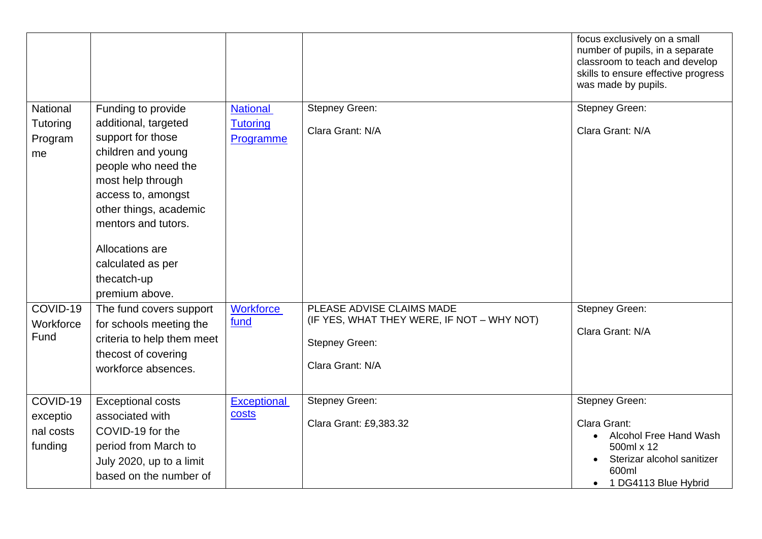|                                  |                                                                                                                   |                              |                                            | focus exclusively on a small<br>number of pupils, in a separate<br>classroom to teach and develop<br>skills to ensure effective progress<br>was made by pupils. |
|----------------------------------|-------------------------------------------------------------------------------------------------------------------|------------------------------|--------------------------------------------|-----------------------------------------------------------------------------------------------------------------------------------------------------------------|
| National                         | Funding to provide                                                                                                | <b>National</b>              | <b>Stepney Green:</b>                      | Stepney Green:                                                                                                                                                  |
| Tutoring<br>Program<br>me        | additional, targeted<br>support for those<br>children and young<br>people who need the<br>most help through       | <b>Tutoring</b><br>Programme | Clara Grant: N/A                           | Clara Grant: N/A                                                                                                                                                |
|                                  | access to, amongst<br>other things, academic<br>mentors and tutors.                                               |                              |                                            |                                                                                                                                                                 |
|                                  | Allocations are                                                                                                   |                              |                                            |                                                                                                                                                                 |
|                                  | calculated as per                                                                                                 |                              |                                            |                                                                                                                                                                 |
|                                  | thecatch-up                                                                                                       |                              |                                            |                                                                                                                                                                 |
|                                  | premium above.                                                                                                    |                              | PLEASE ADVISE CLAIMS MADE                  |                                                                                                                                                                 |
| COVID-19<br>Workforce            | The fund covers support                                                                                           | <b>Workforce</b><br>fund     | (IF YES, WHAT THEY WERE, IF NOT - WHY NOT) | <b>Stepney Green:</b>                                                                                                                                           |
| Fund                             | for schools meeting the<br>criteria to help them meet<br>thecost of covering<br>workforce absences.               |                              | <b>Stepney Green:</b><br>Clara Grant: N/A  | Clara Grant: N/A                                                                                                                                                |
| COVID-19                         | <b>Exceptional costs</b>                                                                                          | <b>Exceptional</b>           | <b>Stepney Green:</b>                      | <b>Stepney Green:</b>                                                                                                                                           |
| exceptio<br>nal costs<br>funding | associated with<br>COVID-19 for the<br>period from March to<br>July 2020, up to a limit<br>based on the number of | costs                        | Clara Grant: £9,383.32                     | Clara Grant:<br><b>Alcohol Free Hand Wash</b><br>500ml x 12<br>Sterizar alcohol sanitizer<br>600ml<br>1 DG4113 Blue Hybrid                                      |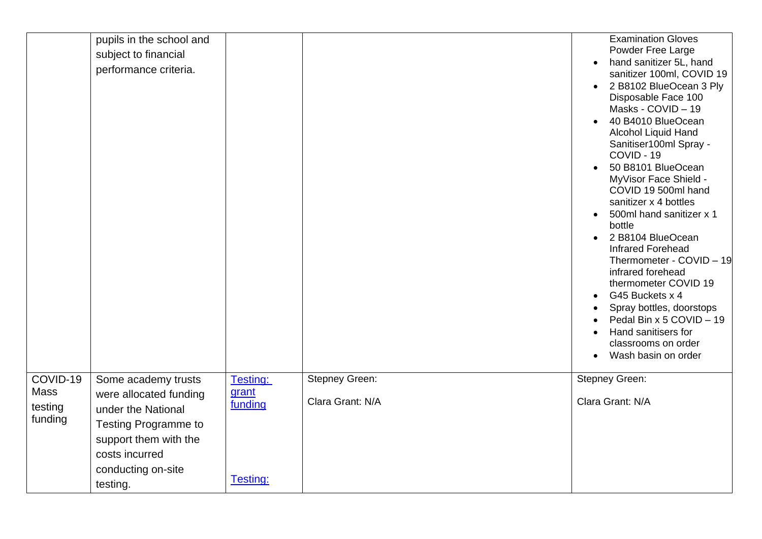|                             | pupils in the school and<br>subject to financial  |                              |                                    | <b>Examination Gloves</b><br>Powder Free Large                                                                                                                                                                                                                                                                                                                                                                                                                                                                                                                                                                                                |
|-----------------------------|---------------------------------------------------|------------------------------|------------------------------------|-----------------------------------------------------------------------------------------------------------------------------------------------------------------------------------------------------------------------------------------------------------------------------------------------------------------------------------------------------------------------------------------------------------------------------------------------------------------------------------------------------------------------------------------------------------------------------------------------------------------------------------------------|
|                             | performance criteria.                             |                              |                                    | hand sanitizer 5L, hand<br>sanitizer 100ml, COVID 19<br>2 B8102 BlueOcean 3 Ply<br>Disposable Face 100<br>Masks - COVID - 19<br>40 B4010 BlueOcean<br>Alcohol Liquid Hand<br>Sanitiser100ml Spray -<br>COVID - 19<br>50 B8101 BlueOcean<br>MyVisor Face Shield -<br>COVID 19 500ml hand<br>sanitizer x 4 bottles<br>500ml hand sanitizer x 1<br>bottle<br>2 B8104 BlueOcean<br>$\bullet$<br><b>Infrared Forehead</b><br>Thermometer - COVID - 19<br>infrared forehead<br>thermometer COVID 19<br>G45 Buckets x 4<br>Spray bottles, doorstops<br>Pedal Bin x 5 COVID - 19<br>Hand sanitisers for<br>classrooms on order<br>Wash basin on order |
| COVID-19<br>Mass<br>testing | Some academy trusts<br>were allocated funding     | Testing:<br>grant<br>funding | Stepney Green:<br>Clara Grant: N/A | Stepney Green:<br>Clara Grant: N/A                                                                                                                                                                                                                                                                                                                                                                                                                                                                                                                                                                                                            |
| funding                     | under the National<br><b>Testing Programme to</b> |                              |                                    |                                                                                                                                                                                                                                                                                                                                                                                                                                                                                                                                                                                                                                               |
|                             | support them with the<br>costs incurred           |                              |                                    |                                                                                                                                                                                                                                                                                                                                                                                                                                                                                                                                                                                                                                               |
|                             | conducting on-site                                |                              |                                    |                                                                                                                                                                                                                                                                                                                                                                                                                                                                                                                                                                                                                                               |
|                             | testing.                                          | Testing:                     |                                    |                                                                                                                                                                                                                                                                                                                                                                                                                                                                                                                                                                                                                                               |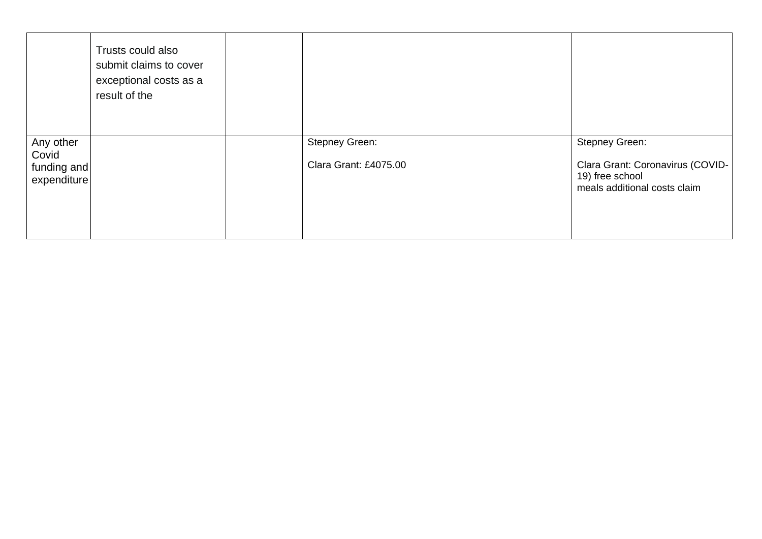|                                                  | Trusts could also<br>submit claims to cover<br>exceptional costs as a<br>result of the |                                                |                                                                                                              |
|--------------------------------------------------|----------------------------------------------------------------------------------------|------------------------------------------------|--------------------------------------------------------------------------------------------------------------|
| Any other<br>Covid<br>funding and<br>expenditure |                                                                                        | <b>Stepney Green:</b><br>Clara Grant: £4075.00 | <b>Stepney Green:</b><br>Clara Grant: Coronavirus (COVID-<br>19) free school<br>meals additional costs claim |